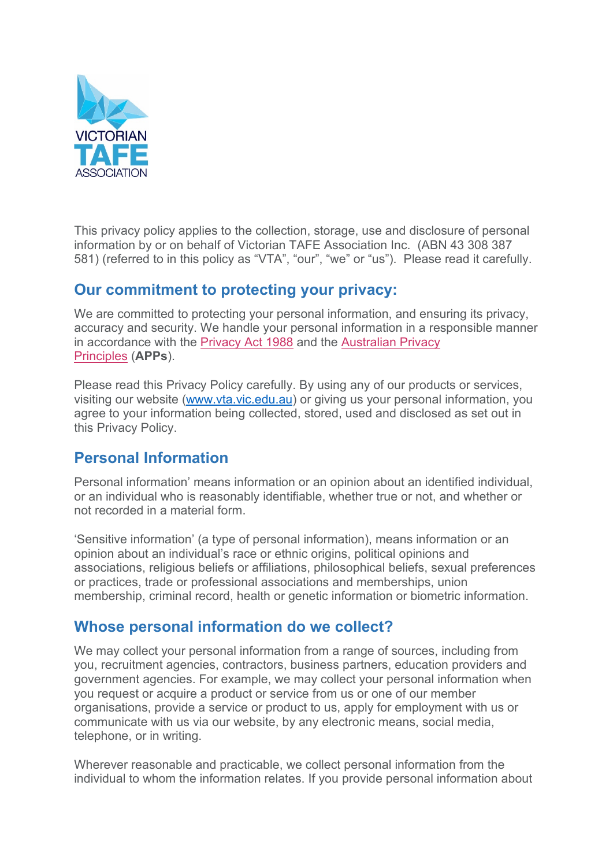

This privacy policy applies to the collection, storage, use and disclosure of personal information by or on behalf of Victorian TAFE Association Inc. (ABN 43 308 387 581) (referred to in this policy as "VTA", "our", "we" or "us"). Please read it carefully.

#### **Our commitment to protecting your privacy:**

We are committed to protecting your personal information, and ensuring its privacy, accuracy and security. We handle your personal information in a responsible manner in accordance with the [Privacy Act 1988](https://www.legislation.gov.au/Details/C2020C00025/Download) and the [Australian Privacy](https://www.oaic.gov.au/privacy/australian-privacy-principles/)  [Principles](https://www.oaic.gov.au/privacy/australian-privacy-principles/) (**APPs**).

Please read this Privacy Policy carefully. By using any of our products or services, visiting our website [\(www.vta.vic.edu.au\)](http://www.vta.vic.edu.au/) or giving us your personal information, you agree to your information being collected, stored, used and disclosed as set out in this Privacy Policy.

#### **Personal Information**

Personal information' means information or an opinion about an identified individual, or an individual who is reasonably identifiable, whether true or not, and whether or not recorded in a material form.

'Sensitive information' (a type of personal information), means information or an opinion about an individual's race or ethnic origins, political opinions and associations, religious beliefs or affiliations, philosophical beliefs, sexual preferences or practices, trade or professional associations and memberships, union membership, criminal record, health or genetic information or biometric information.

#### **Whose personal information do we collect?**

We may collect your personal information from a range of sources, including from you, recruitment agencies, contractors, business partners, education providers and government agencies. For example, we may collect your personal information when you request or acquire a product or service from us or one of our member organisations, provide a service or product to us, apply for employment with us or communicate with us via our website, by any electronic means, social media, telephone, or in writing.

Wherever reasonable and practicable, we collect personal information from the individual to whom the information relates. If you provide personal information about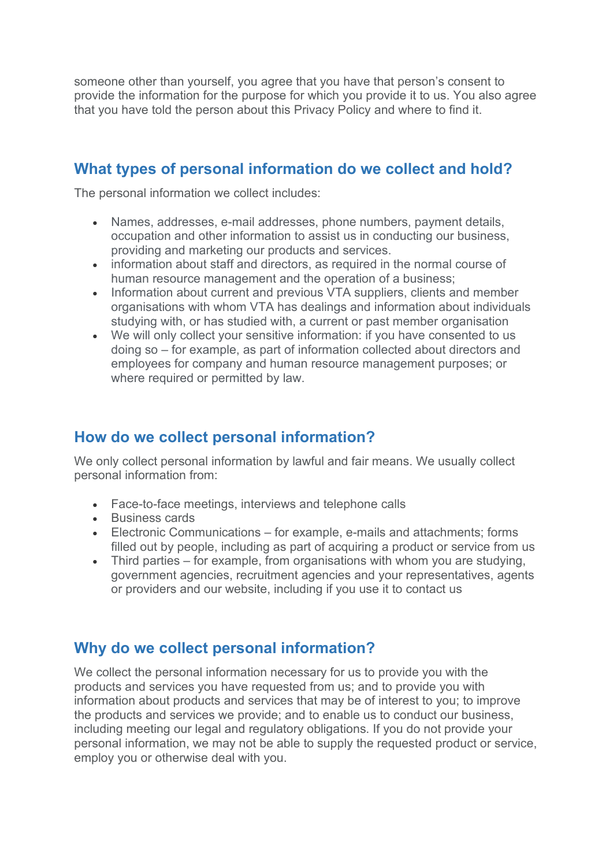someone other than yourself, you agree that you have that person's consent to provide the information for the purpose for which you provide it to us. You also agree that you have told the person about this Privacy Policy and where to find it.

### **What types of personal information do we collect and hold?**

The personal information we collect includes:

- Names, addresses, e-mail addresses, phone numbers, payment details, occupation and other information to assist us in conducting our business, providing and marketing our products and services.
- information about staff and directors, as required in the normal course of human resource management and the operation of a business;
- Information about current and previous VTA suppliers, clients and member organisations with whom VTA has dealings and information about individuals studying with, or has studied with, a current or past member organisation
- We will only collect your sensitive information: if you have consented to us doing so – for example, as part of information collected about directors and employees for company and human resource management purposes; or where required or permitted by law.

### **How do we collect personal information?**

We only collect personal information by lawful and fair means. We usually collect personal information from:

- Face-to-face meetings, interviews and telephone calls
- Business cards
- Electronic Communications for example, e-mails and attachments; forms filled out by people, including as part of acquiring a product or service from us
- Third parties for example, from organisations with whom you are studying, government agencies, recruitment agencies and your representatives, agents or providers and our website, including if you use it to contact us

#### **Why do we collect personal information?**

We collect the personal information necessary for us to provide you with the products and services you have requested from us; and to provide you with information about products and services that may be of interest to you; to improve the products and services we provide; and to enable us to conduct our business, including meeting our legal and regulatory obligations. If you do not provide your personal information, we may not be able to supply the requested product or service, employ you or otherwise deal with you.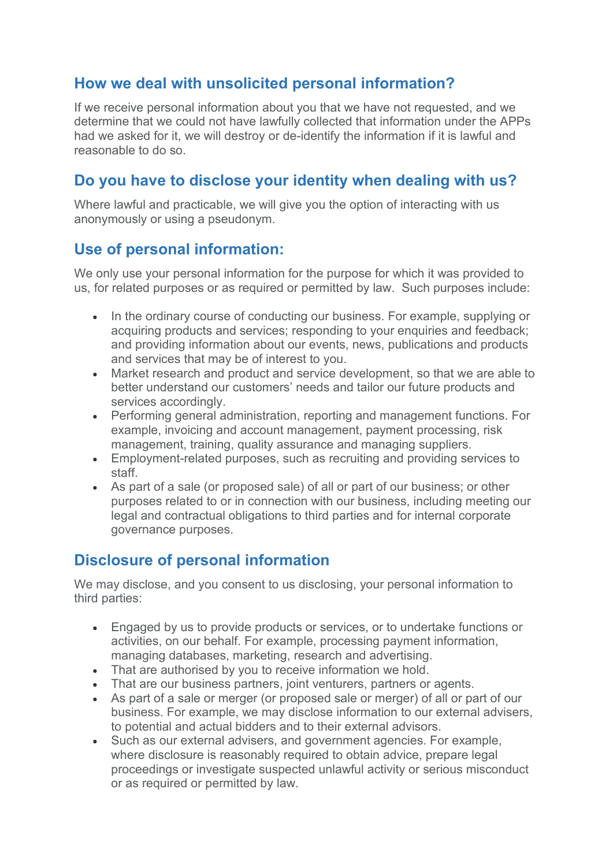# **How we deal with unsolicited personal information?**

If we receive personal information about you that we have not requested, and we determine that we could not have lawfully collected that information under the APPs had we asked for it, we will destroy or de-identify the information if it is lawful and reasonable to do so.

# **Do you have to disclose your identity when dealing with us?**

Where lawful and practicable, we will give you the option of interacting with us anonymously or using a pseudonym.

# **Use of personal information:**

We only use your personal information for the purpose for which it was provided to us, for related purposes or as required or permitted by law. Such purposes include:

- In the ordinary course of conducting our business. For example, supplying or acquiring products and services; responding to your enquiries and feedback; and providing information about our events, news, publications and products and services that may be of interest to you.
- Market research and product and service development, so that we are able to better understand our customers' needs and tailor our future products and services accordingly.
- Performing general administration, reporting and management functions. For example, invoicing and account management, payment processing, risk management, training, quality assurance and managing suppliers.
- Employment-related purposes, such as recruiting and providing services to staff.
- As part of a sale (or proposed sale) of all or part of our business; or other purposes related to or in connection with our business, including meeting our legal and contractual obligations to third parties and for internal corporate governance purposes.

# **Disclosure of personal information**

We may disclose, and you consent to us disclosing, your personal information to third parties:

- Engaged by us to provide products or services, or to undertake functions or activities, on our behalf. For example, processing payment information, managing databases, marketing, research and advertising.
- That are authorised by you to receive information we hold.
- That are our business partners, joint venturers, partners or agents.
- As part of a sale or merger (or proposed sale or merger) of all or part of our business. For example, we may disclose information to our external advisers, to potential and actual bidders and to their external advisors.
- Such as our external advisers, and government agencies. For example, where disclosure is reasonably required to obtain advice, prepare legal proceedings or investigate suspected unlawful activity or serious misconduct or as required or permitted by law.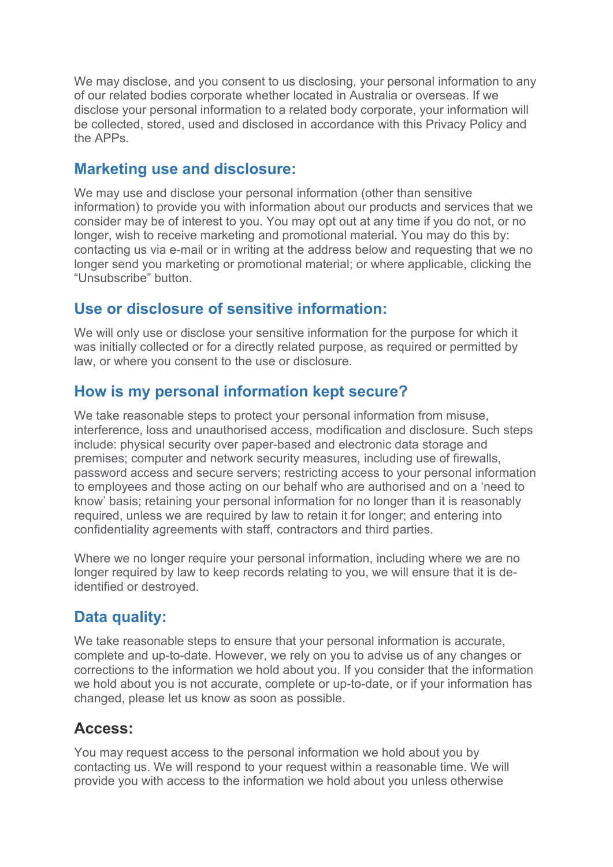We may disclose, and you consent to us disclosing, your personal information to any of our related bodies corporate whether located in Australia or overseas. If we disclose your personal information to a related body corporate, your information will be collected, stored, used and disclosed in accordance with this Privacy Policy and the APPs.

#### **Marketing use and disclosure:**

We may use and disclose your personal information (other than sensitive information) to provide you with information about our products and services that we consider may be of interest to you. You may opt out at any time if you do not, or no longer, wish to receive marketing and promotional material. You may do this by: contacting us via e-mail or in writing at the address below and requesting that we no longer send you marketing or promotional material; or where applicable, clicking the "Unsubscribe" button.

#### **Use or disclosure of sensitive information:**

We will only use or disclose your sensitive information for the purpose for which it was initially collected or for a directly related purpose, as required or permitted by law, or where you consent to the use or disclosure.

### **How is my personal information kept secure?**

We take reasonable steps to protect your personal information from misuse, interference, loss and unauthorised access, modification and disclosure. Such steps include: physical security over paper-based and electronic data storage and premises; computer and network security measures, including use of firewalls, password access and secure servers; restricting access to your personal information to employees and those acting on our behalf who are authorised and on a 'need to know' basis; retaining your personal information for no longer than it is reasonably required, unless we are required by law to retain it for longer; and entering into confidentiality agreements with staff, contractors and third parties.

Where we no longer require your personal information, including where we are no longer required by law to keep records relating to you, we will ensure that it is deidentified or destroyed.

# **Data quality:**

We take reasonable steps to ensure that your personal information is accurate, complete and up-to-date. However, we rely on you to advise us of any changes or corrections to the information we hold about you. If you consider that the information we hold about you is not accurate, complete or up-to-date, or if your information has changed, please let us know as soon as possible.

# **Access:**

You may request access to the personal information we hold about you by contacting us. We will respond to your request within a reasonable time. We will provide you with access to the information we hold about you unless otherwise